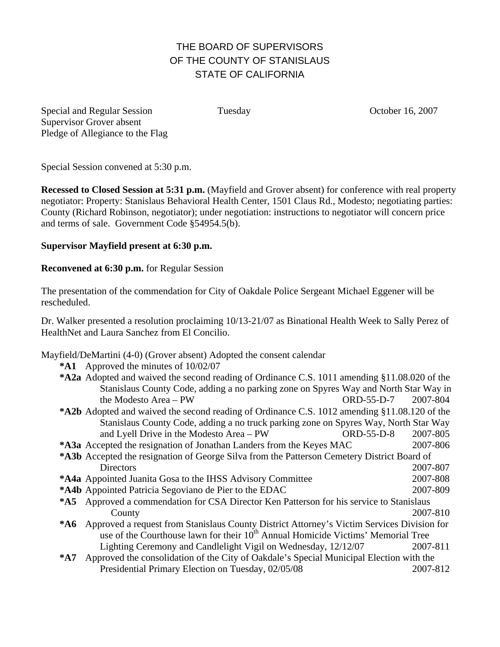## THE BOARD OF SUPERVISORS OF THE COUNTY OF STANISLAUS STATE OF CALIFORNIA

Special and Regular Session Tuesday Cotober 16, 2007 Supervisor Grover absent Pledge of Allegiance to the Flag

Special Session convened at 5:30 p.m.

**Recessed to Closed Session at 5:31 p.m.** (Mayfield and Grover absent) for conference with real property negotiator: Property: Stanislaus Behavioral Health Center, 1501 Claus Rd., Modesto; negotiating parties: County (Richard Robinson, negotiator); under negotiation: instructions to negotiator will concern price and terms of sale. Government Code §54954.5(b).

## **Supervisor Mayfield present at 6:30 p.m.**

## **Reconvened at 6:30 p.m.** for Regular Session

The presentation of the commendation for City of Oakdale Police Sergeant Michael Eggener will be rescheduled.

Dr. Walker presented a resolution proclaiming 10/13-21/07 as Binational Health Week to Sally Perez of HealthNet and Laura Sanchez from El Concilio.

## Mayfield/DeMartini (4-0) (Grover absent) Adopted the consent calendar

**\*A1** Approved the minutes of 10/02/07

| *A2a Adopted and waived the second reading of Ordinance C.S. 1011 amending §11.08.020 of the          |            |          |
|-------------------------------------------------------------------------------------------------------|------------|----------|
| Stanislaus County Code, adding a no parking zone on Spyres Way and North Star Way in                  |            |          |
| the Modesto Area - PW                                                                                 | ORD-55-D-7 | 2007-804 |
| *A2b Adopted and waived the second reading of Ordinance C.S. 1012 amending §11.08.120 of the          |            |          |
| Stanislaus County Code, adding a no truck parking zone on Spyres Way, North Star Way                  |            |          |
| and Lyell Drive in the Modesto Area - PW                                                              | ORD-55-D-8 | 2007-805 |
| *A3a Accepted the resignation of Jonathan Landers from the Keyes MAC                                  |            | 2007-806 |
| *A3b Accepted the resignation of George Silva from the Patterson Cemetery District Board of           |            |          |
| <b>Directors</b>                                                                                      |            | 2007-807 |
| <b>*A4a</b> Appointed Juanita Gosa to the IHSS Advisory Committee                                     |            | 2007-808 |
| *A4b Appointed Patricia Segoviano de Pier to the EDAC                                                 |            | 2007-809 |
| *A5 Approved a commendation for CSA Director Ken Patterson for his service to Stanislaus              |            |          |
| County                                                                                                |            | 2007-810 |
| <b>*A6</b> Approved a request from Stanislaus County District Attorney's Victim Services Division for |            |          |
| use of the Courthouse lawn for their 10 <sup>th</sup> Annual Homicide Victims' Memorial Tree          |            |          |
| Lighting Ceremony and Candlelight Vigil on Wednesday, 12/12/07                                        |            | 2007-811 |
| Approved the consolidation of the City of Oakdale's Special Municipal Election with the<br>$*$ A7     |            |          |
| Presidential Primary Election on Tuesday, 02/05/08                                                    |            | 2007-812 |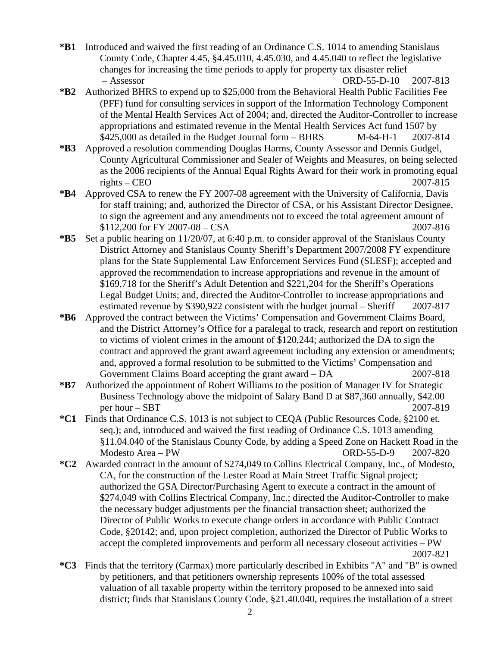- **\*B1** Introduced and waived the first reading of an Ordinance C.S. 1014 to amending Stanislaus County Code, Chapter 4.45, §4.45.010, 4.45.030, and 4.45.040 to reflect the legislative changes for increasing the time periods to apply for property tax disaster relief – Assessor ORD-55-D-10 2007-813
- **\*B2** Authorized BHRS to expend up to \$25,000 from the Behavioral Health Public Facilities Fee (PFF) fund for consulting services in support of the Information Technology Component of the Mental Health Services Act of 2004; and, directed the Auditor-Controller to increase appropriations and estimated revenue in the Mental Health Services Act fund 1507 by  $$425,000$  as detailed in the Budget Journal form – BHRS M-64-H-1 2007-814
- **\*B3** Approved a resolution commending Douglas Harms, County Assessor and Dennis Gudgel, County Agricultural Commissioner and Sealer of Weights and Measures, on being selected as the 2006 recipients of the Annual Equal Rights Award for their work in promoting equal  $\text{rights} - \text{CEO}$  2007-815
- **\*B4** Approved CSA to renew the FY 2007-08 agreement with the University of California, Davis for staff training; and, authorized the Director of CSA, or his Assistant Director Designee, to sign the agreement and any amendments not to exceed the total agreement amount of \$112,200 for FY 2007-08 – CSA 2007-816
- **\*B5** Set a public hearing on 11/20/07, at 6:40 p.m. to consider approval of the Stanislaus County District Attorney and Stanislaus County Sheriff's Department 2007/2008 FY expenditure plans for the State Supplemental Law Enforcement Services Fund (SLESF); accepted and approved the recommendation to increase appropriations and revenue in the amount of \$169,718 for the Sheriff's Adult Detention and \$221,204 for the Sheriff's Operations Legal Budget Units; and, directed the Auditor-Controller to increase appropriations and estimated revenue by \$390,922 consistent with the budget journal – Sheriff 2007-817
- **\*B6** Approved the contract between the Victims' Compensation and Government Claims Board, and the District Attorney's Office for a paralegal to track, research and report on restitution to victims of violent crimes in the amount of \$120,244; authorized the DA to sign the contract and approved the grant award agreement including any extension or amendments; and, approved a formal resolution to be submitted to the Victims' Compensation and Government Claims Board accepting the grant award – DA 2007-818
- **\*B7** Authorized the appointment of Robert Williams to the position of Manager IV for Strategic Business Technology above the midpoint of Salary Band D at \$87,360 annually, \$42.00 per hour – SBT 2007-819
- **\*C1** Finds that Ordinance C.S. 1013 is not subject to CEQA (Public Resources Code, §2100 et. seq.); and, introduced and waived the first reading of Ordinance C.S. 1013 amending §11.04.040 of the Stanislaus County Code, by adding a Speed Zone on Hackett Road in the Modesto Area – PW ORD-55-D-9 2007-820
- **\*C2** Awarded contract in the amount of \$274,049 to Collins Electrical Company, Inc., of Modesto, CA, for the construction of the Lester Road at Main Street Traffic Signal project; authorized the GSA Director/Purchasing Agent to execute a contract in the amount of \$274,049 with Collins Electrical Company, Inc.; directed the Auditor-Controller to make the necessary budget adjustments per the financial transaction sheet; authorized the Director of Public Works to execute change orders in accordance with Public Contract Code, §20142; and, upon project completion, authorized the Director of Public Works to accept the completed improvements and perform all necessary closeout activities – PW 2007-821
- **\*C3** Finds that the territory (Carmax) more particularly described in Exhibits "A" and "B" is owned by petitioners, and that petitioners ownership represents 100% of the total assessed valuation of all taxable property within the territory proposed to be annexed into said district; finds that Stanislaus County Code, §21.40.040, requires the installation of a street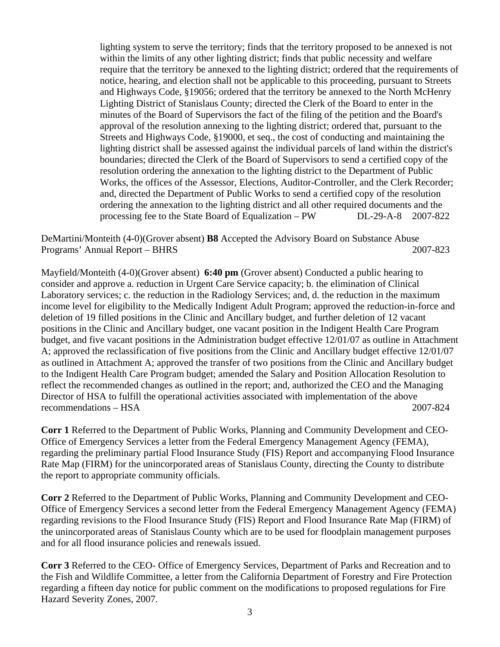lighting system to serve the territory; finds that the territory proposed to be annexed is not within the limits of any other lighting district; finds that public necessity and welfare require that the territory be annexed to the lighting district; ordered that the requirements of notice, hearing, and election shall not be applicable to this proceeding, pursuant to Streets and Highways Code, §19056; ordered that the territory be annexed to the North McHenry Lighting District of Stanislaus County; directed the Clerk of the Board to enter in the minutes of the Board of Supervisors the fact of the filing of the petition and the Board's approval of the resolution annexing to the lighting district; ordered that, pursuant to the Streets and Highways Code, §19000, et seq., the cost of conducting and maintaining the lighting district shall be assessed against the individual parcels of land within the district's boundaries; directed the Clerk of the Board of Supervisors to send a certified copy of the resolution ordering the annexation to the lighting district to the Department of Public Works, the offices of the Assessor, Elections, Auditor-Controller, and the Clerk Recorder; and, directed the Department of Public Works to send a certified copy of the resolution ordering the annexation to the lighting district and all other required documents and the processing fee to the State Board of Equalization – PW DL-29-A-8 2007-822

DeMartini/Monteith (4-0)(Grover absent) **B8** Accepted the Advisory Board on Substance Abuse Programs' Annual Report – BHRS 2007-823

Mayfield/Monteith (4-0)(Grover absent) **6:40 pm** (Grover absent) Conducted a public hearing to consider and approve a. reduction in Urgent Care Service capacity; b. the elimination of Clinical Laboratory services; c. the reduction in the Radiology Services; and, d. the reduction in the maximum income level for eligibility to the Medically Indigent Adult Program; approved the reduction-in-force and deletion of 19 filled positions in the Clinic and Ancillary budget, and further deletion of 12 vacant positions in the Clinic and Ancillary budget, one vacant position in the Indigent Health Care Program budget, and five vacant positions in the Administration budget effective 12/01/07 as outline in Attachment A; approved the reclassification of five positions from the Clinic and Ancillary budget effective 12/01/07 as outlined in Attachment A; approved the transfer of two positions from the Clinic and Ancillary budget to the Indigent Health Care Program budget; amended the Salary and Position Allocation Resolution to reflect the recommended changes as outlined in the report; and, authorized the CEO and the Managing Director of HSA to fulfill the operational activities associated with implementation of the above recommendations – HSA 2007-824

**Corr 1** Referred to the Department of Public Works, Planning and Community Development and CEO-Office of Emergency Services a letter from the Federal Emergency Management Agency (FEMA), regarding the preliminary partial Flood Insurance Study (FIS) Report and accompanying Flood Insurance Rate Map (FIRM) for the unincorporated areas of Stanislaus County, directing the County to distribute the report to appropriate community officials.

**Corr 2** Referred to the Department of Public Works, Planning and Community Development and CEO-Office of Emergency Services a second letter from the Federal Emergency Management Agency (FEMA) regarding revisions to the Flood Insurance Study (FIS) Report and Flood Insurance Rate Map (FIRM) of the unincorporated areas of Stanislaus County which are to be used for floodplain management purposes and for all flood insurance policies and renewals issued.

**Corr 3** Referred to the CEO- Office of Emergency Services, Department of Parks and Recreation and to the Fish and Wildlife Committee, a letter from the California Department of Forestry and Fire Protection regarding a fifteen day notice for public comment on the modifications to proposed regulations for Fire Hazard Severity Zones, 2007.